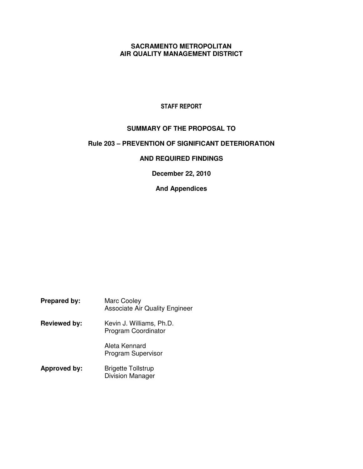## **SACRAMENTO METROPOLITAN AIR QUALITY MANAGEMENT DISTRICT**

## STAFF REPORT

# **SUMMARY OF THE PROPOSAL TO**

## **Rule 203 – PREVENTION OF SIGNIFICANT DETERIORATION**

## **AND REQUIRED FINDINGS**

**December 22, 2010** 

# **And Appendices**

| <b>Prepared by:</b> | Marc Cooley<br><b>Associate Air Quality Engineer</b> |
|---------------------|------------------------------------------------------|
| <b>Reviewed by:</b> | Kevin J. Williams, Ph.D.<br>Program Coordinator      |
|                     | Aleta Kennard<br><b>Program Supervisor</b>           |
| Approved by:        | <b>Brigette Tollstrup</b><br><b>Division Manager</b> |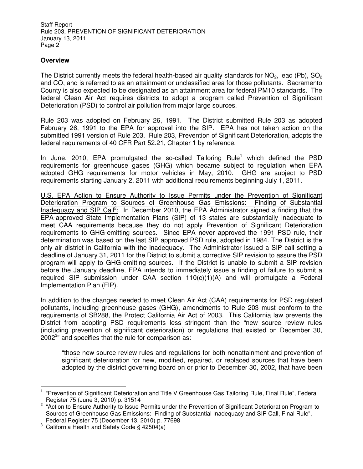### **Overview**

The District currently meets the federal health-based air quality standards for  $NO_2$ , lead (Pb),  $SO_2$ and CO, and is referred to as an attainment or unclassified area for those pollutants. Sacramento County is also expected to be designated as an attainment area for federal PM10 standards. The federal Clean Air Act requires districts to adopt a program called Prevention of Significant Deterioration (PSD) to control air pollution from major large sources.

Rule 203 was adopted on February 26, 1991. The District submitted Rule 203 as adopted February 26, 1991 to the EPA for approval into the SIP. EPA has not taken action on the submitted 1991 version of Rule 203. Rule 203, Prevention of Significant Deterioration, adopts the federal requirements of 40 CFR Part 52.21, Chapter 1 by reference.

In June, 2010, EPA promulgated the so-called Tailoring Rule<sup>1</sup> which defined the PSD requirements for greenhouse gases (GHG) which became subject to regulation when EPA adopted GHG requirements for motor vehicles in May, 2010. GHG are subject to PSD requirements starting January 2, 2011 with additional requirements beginning July 1, 2011.

U.S. EPA Action to Ensure Authority to Issue Permits under the Prevention of Significant Deterioration Program to Sources of Greenhouse Gas Emissions: Finding of Substantial Inadequacy and SIP Call<sup>2</sup>: In December 2010, the EPA Administrator signed a finding that the EPA-approved State Implementation Plans (SIP) of 13 states are substantially inadequate to meet CAA requirements because they do not apply Prevention of Significant Deterioration requirements to GHG-emitting sources. Since EPA never approved the 1991 PSD rule, their determination was based on the last SIP approved PSD rule, adopted in 1984. The District is the only air district in California with the inadequacy. The Administrator issued a SIP call setting a deadline of January 31, 2011 for the District to submit a corrective SIP revision to assure the PSD program will apply to GHG-emitting sources. If the District is unable to submit a SIP revision before the January deadline, EPA intends to immediately issue a finding of failure to submit a required SIP submission under CAA section 110(c)(1)(A) and will promulgate a Federal Implementation Plan (FIP).

In addition to the changes needed to meet Clean Air Act (CAA) requirements for PSD regulated pollutants, including greenhouse gases (GHG), amendments to Rule 203 must conform to the requirements of SB288, the Protect California Air Act of 2003. This California law prevents the District from adopting PSD requirements less stringent than the "new source review rules (including prevention of significant deterioration) or regulations that existed on December 30, 2002<sup>3</sup>" and specifies that the rule for comparison as:

"those new source review rules and regulations for both nonattainment and prevention of significant deterioration for new, modified, repaired, or replaced sources that have been adopted by the district governing board on or prior to December 30, 2002, that have been

 $\overline{a}$ 

<sup>&</sup>lt;sup>1</sup> "Prevention of Significant Deterioration and Title V Greenhouse Gas Tailoring Rule, Final Rule", Federal Register 75 (June 3, 2010) p. 31514

<sup>&</sup>lt;sup>2</sup> "Action to Ensure Authority to Issue Permits under the Prevention of Significant Deterioration Program to Sources of Greenhouse Gas Emissions: Finding of Substantial Inadequacy and SIP Call, Final Rule", Federal Register 75 (December 13, 2010) p. 77698

<sup>3</sup> California Health and Safety Code § 42504(a)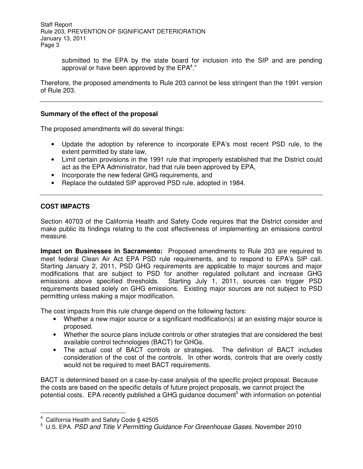> submitted to the EPA by the state board for inclusion into the SIP and are pending approval or have been approved by the  $EPA<sup>4</sup>$ ."

Therefore, the proposed amendments to Rule 203 cannot be less stringent than the 1991 version of Rule 203.

#### **Summary of the effect of the proposal**

The proposed amendments will do several things:

- Update the adoption by reference to incorporate EPA's most recent PSD rule, to the extent permitted by state law,
- Limit certain provisions in the 1991 rule that improperly established that the District could act as the EPA Administrator, had that rule been approved by EPA,
- Incorporate the new federal GHG requirements, and
- Replace the outdated SIP approved PSD rule, adopted in 1984.

#### **COST IMPACTS**

Section 40703 of the California Health and Safety Code requires that the District consider and make public its findings relating to the cost effectiveness of implementing an emissions control measure.

**Impact on Businesses in Sacramento:** Proposed amendments to Rule 203 are required to meet federal Clean Air Act EPA PSD rule requirements, and to respond to EPA's SIP call. Starting January 2, 2011, PSD GHG requirements are applicable to major sources and major modifications that are subject to PSD for another regulated pollutant and increase GHG emissions above specified thresholds. Starting July 1, 2011, sources can trigger PSD requirements based solely on GHG emissions. Existing major sources are not subject to PSD permitting unless making a major modification.

The cost impacts from this rule change depend on the following factors:

- Whether a new major source or a significant modification(s) at an existing major source is proposed.
- Whether the source plans include controls or other strategies that are considered the best available control technologies (BACT) for GHGs.
- The actual cost of BACT controls or strategies. The definition of BACT includes consideration of the cost of the controls. In other words, controls that are overly costly would not be required to meet BACT requirements.

BACT is determined based on a case-by-case analysis of the specific project proposal. Because the costs are based on the specific details of future project proposals, we cannot project the potential costs. EPA recently published a GHG guidance document<sup>5</sup> with information on potential

 $\overline{a}$ 

<sup>4</sup> California Health and Safety Code § 42505

<sup>&</sup>lt;sup>5</sup> U.S. EPA. PSD and Title V Permitting Guidance For Greenhouse Gases. November 2010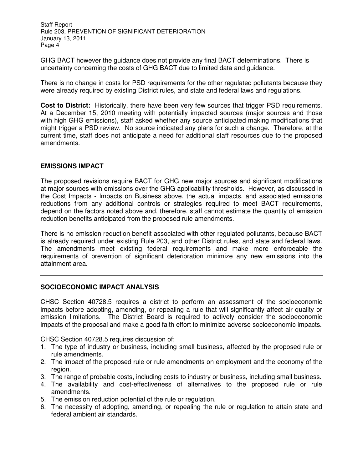GHG BACT however the guidance does not provide any final BACT determinations. There is uncertainty concerning the costs of GHG BACT due to limited data and guidance.

There is no change in costs for PSD requirements for the other regulated pollutants because they were already required by existing District rules, and state and federal laws and regulations.

**Cost to District:** Historically, there have been very few sources that trigger PSD requirements. At a December 15, 2010 meeting with potentially impacted sources (major sources and those with high GHG emissions), staff asked whether any source anticipated making modifications that might trigger a PSD review. No source indicated any plans for such a change. Therefore, at the current time, staff does not anticipate a need for additional staff resources due to the proposed amendments.

#### **EMISSIONS IMPACT**

The proposed revisions require BACT for GHG new major sources and significant modifications at major sources with emissions over the GHG applicability thresholds. However, as discussed in the Cost Impacts - Impacts on Business above, the actual impacts, and associated emissions reductions from any additional controls or strategies required to meet BACT requirements, depend on the factors noted above and, therefore, staff cannot estimate the quantity of emission reduction benefits anticipated from the proposed rule amendments.

There is no emission reduction benefit associated with other regulated pollutants, because BACT is already required under existing Rule 203, and other District rules, and state and federal laws. The amendments meet existing federal requirements and make more enforceable the requirements of prevention of significant deterioration minimize any new emissions into the attainment area.

#### **SOCIOECONOMIC IMPACT ANALYSIS**

CHSC Section 40728.5 requires a district to perform an assessment of the socioeconomic impacts before adopting, amending, or repealing a rule that will significantly affect air quality or emission limitations. The District Board is required to actively consider the socioeconomic impacts of the proposal and make a good faith effort to minimize adverse socioeconomic impacts.

CHSC Section 40728.5 requires discussion of:

- 1. The type of industry or business, including small business, affected by the proposed rule or rule amendments.
- 2. The impact of the proposed rule or rule amendments on employment and the economy of the region.
- 3. The range of probable costs, including costs to industry or business, including small business.
- 4. The availability and cost-effectiveness of alternatives to the proposed rule or rule amendments.
- 5. The emission reduction potential of the rule or regulation.
- 6. The necessity of adopting, amending, or repealing the rule or regulation to attain state and federal ambient air standards.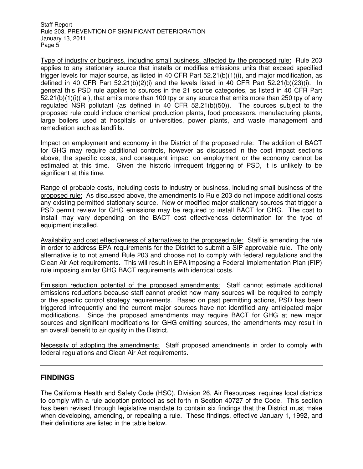Type of industry or business, including small business, affected by the proposed rule: Rule 203 applies to any stationary source that installs or modifies emissions units that exceed specified trigger levels for major source, as listed in 40 CFR Part 52.21(b)(1)(i), and major modification, as defined in 40 CFR Part  $52.21(b)(2)(i)$  and the levels listed in 40 CFR Part  $52.21(b)(23)(i)$ . In general this PSD rule applies to sources in the 21 source categories, as listed in 40 CFR Part  $52.21(b)(1)(i)$  (a), that emits more than 100 tpy or any source that emits more than 250 tpy of any regulated NSR pollutant (as defined in 40 CFR 52.21(b)(50)). The sources subject to the proposed rule could include chemical production plants, food processors, manufacturing plants, large boilers used at hospitals or universities, power plants, and waste management and remediation such as landfills.

Impact on employment and economy in the District of the proposed rule: The addition of BACT for GHG may require additional controls, however as discussed in the cost impact sections above, the specific costs, and consequent impact on employment or the economy cannot be estimated at this time. Given the historic infrequent triggering of PSD, it is unlikely to be significant at this time.

Range of probable costs, including costs to industry or business, including small business of the proposed rule: As discussed above, the amendments to Rule 203 do not impose additional costs any existing permitted stationary source. New or modified major stationary sources that trigger a PSD permit review for GHG emissions may be required to install BACT for GHG. The cost to install may vary depending on the BACT cost effectiveness determination for the type of equipment installed.

Availability and cost effectiveness of alternatives to the proposed rule: Staff is amending the rule in order to address EPA requirements for the District to submit a SIP approvable rule. The only alternative is to not amend Rule 203 and choose not to comply with federal regulations and the Clean Air Act requirements. This will result in EPA imposing a Federal Implementation Plan (FIP) rule imposing similar GHG BACT requirements with identical costs.

Emission reduction potential of the proposed amendments: Staff cannot estimate additional emissions reductions because staff cannot predict how many sources will be required to comply or the specific control strategy requirements. Based on past permitting actions, PSD has been triggered infrequently and the current major sources have not identified any anticipated major modifications. Since the proposed amendments may require BACT for GHG at new major sources and significant modifications for GHG-emitting sources, the amendments may result in an overall benefit to air quality in the District.

Necessity of adopting the amendments: Staff proposed amendments in order to comply with federal regulations and Clean Air Act requirements.

## **FINDINGS**

The California Health and Safety Code (HSC), Division 26, Air Resources, requires local districts to comply with a rule adoption protocol as set forth in Section 40727 of the Code. This section has been revised through legislative mandate to contain six findings that the District must make when developing, amending, or repealing a rule. These findings, effective January 1, 1992, and their definitions are listed in the table below.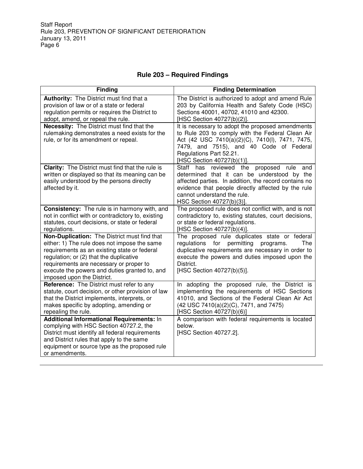# **Rule 203 – Required Findings**

| <b>Finding</b>                                                                                                                                                                                                                                                                                                    | <b>Finding Determination</b>                                                                                                                                                                                                                                          |
|-------------------------------------------------------------------------------------------------------------------------------------------------------------------------------------------------------------------------------------------------------------------------------------------------------------------|-----------------------------------------------------------------------------------------------------------------------------------------------------------------------------------------------------------------------------------------------------------------------|
| Authority: The District must find that a<br>provision of law or of a state or federal<br>regulation permits or requires the District to<br>adopt, amend, or repeal the rule.                                                                                                                                      | The District is authorized to adopt and amend Rule<br>203 by California Health and Safety Code (HSC)<br>Sections 40001, 40702, 41010 and 42300.<br>[HSC Section 40727(b)(2)].                                                                                         |
| <b>Necessity:</b> The District must find that the<br>rulemaking demonstrates a need exists for the<br>rule, or for its amendment or repeal.                                                                                                                                                                       | It is necessary to adopt the proposed amendments<br>to Rule 203 to comply with the Federal Clean Air<br>Act (42 USC 7410(a)(2)(C), 7410(l), 7471, 7475,<br>7479, and 7515), and 40 Code of Federal<br>Regulations Part 52.21.<br>[HSC Section 40727(b)(1)].           |
| <b>Clarity:</b> The District must find that the rule is<br>written or displayed so that its meaning can be<br>easily understood by the persons directly<br>affected by it.                                                                                                                                        | Staff has reviewed the proposed rule<br>and<br>determined that it can be understood by the<br>affected parties. In addition, the record contains no<br>evidence that people directly affected by the rule<br>cannot understand the rule.<br>HSC Section 40727(b)(3)]. |
| Consistency: The rule is in harmony with, and<br>not in conflict with or contradictory to, existing<br>statutes, court decisions, or state or federal<br>regulations.                                                                                                                                             | The proposed rule does not conflict with, and is not<br>contradictory to, existing statutes, court decisions,<br>or state or federal regulations.<br>[HSC Section 40727(b)(4)].                                                                                       |
| Non-Duplication: The District must find that<br>either: 1) The rule does not impose the same<br>requirements as an existing state or federal<br>regulation; or (2) that the duplicative<br>requirements are necessary or proper to<br>execute the powers and duties granted to, and<br>imposed upon the District. | The proposed rule duplicates state or federal<br>regulations for permitting<br>The<br>programs.<br>duplicative requirements are necessary in order to<br>execute the powers and duties imposed upon the<br>District.<br>[HSC Section 40727(b)(5)].                    |
| Reference: The District must refer to any<br>statute, court decision, or other provision of law<br>that the District implements, interprets, or<br>makes specific by adopting, amending or<br>repealing the rule.                                                                                                 | In adopting the proposed rule, the District is<br>implementing the requirements of HSC Sections<br>41010, and Sections of the Federal Clean Air Act<br>(42 USC 7410(a)(2)(C), 7471, and 7475)<br>[HSC Section 40727(b)(6)]                                            |
| Additional Informational Requirements: In<br>complying with HSC Section 40727.2, the<br>District must identify all federal requirements<br>and District rules that apply to the same<br>equipment or source type as the proposed rule<br>or amendments.                                                           | A comparison with federal requirements is located<br>below.<br>[HSC Section 40727.2].                                                                                                                                                                                 |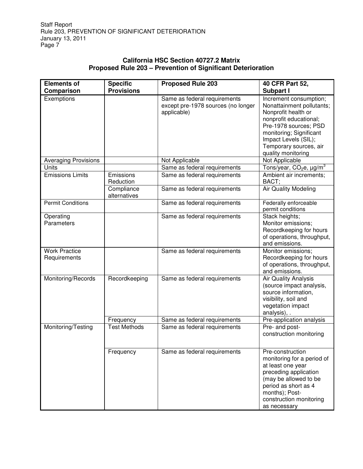## **California HSC Section 40727.2 Matrix Proposed Rule 203 – Prevention of Significant Deterioration**

| <b>Elements of</b>                   | <b>Specific</b>            | <b>Proposed Rule 203</b>                                                          | 40 CFR Part 52,                                                                                                                                                                                                                  |
|--------------------------------------|----------------------------|-----------------------------------------------------------------------------------|----------------------------------------------------------------------------------------------------------------------------------------------------------------------------------------------------------------------------------|
| Comparison                           | <b>Provisions</b>          |                                                                                   | Subpart I                                                                                                                                                                                                                        |
| Exemptions                           |                            | Same as federal requirements<br>except pre-1978 sources (no longer<br>applicable) | Increment consumption;<br>Nonattainment pollutants;<br>Nonprofit health or<br>nonprofit educational;<br>Pre-1978 sources; PSD<br>monitoring; Significant<br>Impact Levels (SIL);<br>Temporary sources, air<br>quality monitoring |
| <b>Averaging Provisions</b>          |                            | Not Applicable                                                                    | Not Applicable                                                                                                                                                                                                                   |
| Units                                |                            | Same as federal requirements                                                      | Tons/year, CO $_2$ e, $\mu$ g/m $^3$                                                                                                                                                                                             |
| <b>Emissions Limits</b>              | Emissions<br>Reduction     | Same as federal requirements                                                      | Ambient air increments;<br>BACT;                                                                                                                                                                                                 |
|                                      | Compliance<br>alternatives | Same as federal requirements                                                      | <b>Air Quality Modeling</b>                                                                                                                                                                                                      |
| <b>Permit Conditions</b>             |                            | Same as federal requirements                                                      | Federally enforceable<br>permit conditions                                                                                                                                                                                       |
| Operating<br>Parameters              |                            | Same as federal requirements                                                      | Stack heights;<br>Monitor emissions;<br>Recordkeeping for hours<br>of operations, throughput,<br>and emissions.                                                                                                                  |
| <b>Work Practice</b><br>Requirements |                            | Same as federal requirements                                                      | Monitor emissions:<br>Recordkeeping for hours<br>of operations, throughput,<br>and emissions.                                                                                                                                    |
| Monitoring/Records                   | Recordkeeping              | Same as federal requirements                                                      | Air Quality Analysis<br>(source impact analysis,<br>source information,<br>visibility, soil and<br>vegetation impact<br>analysis), .                                                                                             |
|                                      | Frequency                  | Same as federal requirements                                                      | Pre-application analysis                                                                                                                                                                                                         |
| Monitoring/Testing                   | <b>Test Methods</b>        | Same as federal requirements                                                      | Pre- and post-<br>construction monitoring                                                                                                                                                                                        |
|                                      | Frequency                  | Same as federal requirements                                                      | Pre-construction<br>monitoring for a period of<br>at least one year<br>preceding application<br>(may be allowed to be<br>period as short as 4<br>months); Post-<br>construction monitoring<br>as necessary                       |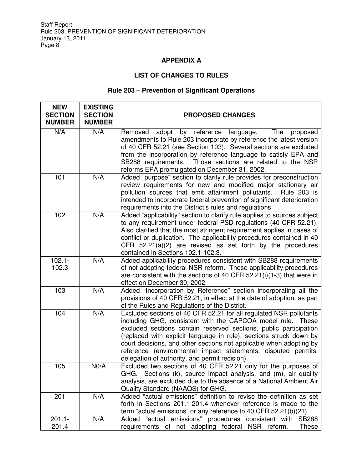# **APPENDIX A**

# **LIST OF CHANGES TO RULES**

# **Rule 203 – Prevention of Significant Operations**

| <b>NEW</b><br><b>SECTION</b><br><b>NUMBER</b> | <b>EXISTING</b><br><b>SECTION</b><br><b>NUMBER</b> | <b>PROPOSED CHANGES</b>                                                                                                                                                                                                                                                                                                                                                                                                                                                |
|-----------------------------------------------|----------------------------------------------------|------------------------------------------------------------------------------------------------------------------------------------------------------------------------------------------------------------------------------------------------------------------------------------------------------------------------------------------------------------------------------------------------------------------------------------------------------------------------|
| N/A                                           | N/A                                                | adopt by reference language.<br>The<br>Removed<br>proposed<br>amendments to Rule 203 incorporate by reference the latest version<br>of 40 CFR 52.21 (see Section 103). Several sections are excluded<br>from the incorporation by reference language to satisfy EPA and<br>SB288 requirements. Those sections are related to the NSR<br>reforms EPA promulgated on December 31, 2002.                                                                                  |
| 101                                           | N/A                                                | Added "purpose" section to clarify rule provides for preconstruction<br>review requirements for new and modified major stationary air<br>pollution sources that emit attainment pollutants.<br>Rule 203 is<br>intended to incorporate federal prevention of significant deterioration<br>requirements into the District's rules and regulations.                                                                                                                       |
| 102                                           | N/A                                                | Added "applicability" section to clarify rule applies to sources subject<br>to any requirement under federal PSD regulations (40 CFR 52.21).<br>Also clarified that the most stringent requirement applies in cases of<br>conflict or duplication. The applicability procedures contained in 40<br>CFR $52.21(a)(2)$ are revised as set forth by the procedures<br>contained in Sections 102.1-102.3.                                                                  |
| $102.1 -$<br>102.3                            | N/A                                                | Added applicability procedures consistent with SB288 requirements<br>of not adopting federal NSR reform. These applicability procedures<br>are consistent with the sections of 40 CFR 52.21(i)(1-3) that were in<br>effect on December 30, 2002.                                                                                                                                                                                                                       |
| 103                                           | N/A                                                | Added "Incorporation by Reference" section incorporating all the<br>provisions of 40 CFR 52.21, in effect at the date of adoption, as part<br>of the Rules and Regulations of the District.                                                                                                                                                                                                                                                                            |
| 104                                           | N/A                                                | Excluded sections of 40 CFR 52.21 for all regulated NSR pollutants<br>including GHG, consistent with the CAPCOA model rule. These<br>excluded sections contain reserved sections, public participation<br>(replaced with explicit language in rule), sections struck down by<br>court decisions, and other sections not applicable when adopting by<br>reference (environmental impact statements, disputed permits,<br>delegation of authority, and permit recision). |
| 105                                           | NO/A                                               | Excluded two sections of 40 CFR 52.21 only for the purposes of<br>GHG. Sections (k), source impact analysis, and (m), air quality<br>analysis, are excluded due to the absence of a National Ambient Air<br>Quality Standard (NAAQS) for GHG.                                                                                                                                                                                                                          |
| 201                                           | N/A                                                | Added "actual emissions" definition to revise the definition as set<br>forth in Sections 201.1-201.4 whenever reference is made to the<br>term "actual emissions" or any reference to 40 CFR 52.21(b)(21).                                                                                                                                                                                                                                                             |
| $201.1 -$<br>201.4                            | N/A                                                | Added "actual emissions" procedures consistent with<br><b>SB288</b><br>NSR reform.<br>requirements of not adopting federal<br>These                                                                                                                                                                                                                                                                                                                                    |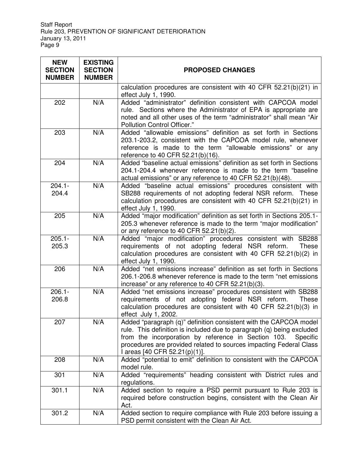| <b>NEW</b><br><b>SECTION</b><br><b>NUMBER</b> | <b>EXISTING</b><br><b>SECTION</b><br><b>NUMBER</b> | <b>PROPOSED CHANGES</b>                                                                                                                                                                                                                                                                                              |
|-----------------------------------------------|----------------------------------------------------|----------------------------------------------------------------------------------------------------------------------------------------------------------------------------------------------------------------------------------------------------------------------------------------------------------------------|
|                                               |                                                    | calculation procedures are consistent with 40 CFR 52.21(b)(21) in<br>effect July 1, 1990.                                                                                                                                                                                                                            |
| 202                                           | N/A                                                | Added "administrator" definition consistent with CAPCOA model<br>rule. Sections where the Administrator of EPA is appropriate are<br>noted and all other uses of the term "administrator" shall mean "Air<br>Pollution Control Officer."                                                                             |
| 203                                           | N/A                                                | Added "allowable emissions" definition as set forth in Sections<br>203.1-203.2, consistent with the CAPCOA model rule, whenever<br>reference is made to the term "allowable emissions" or any<br>reference to 40 CFR 52.21(b)(16).                                                                                   |
| 204                                           | N/A                                                | Added "baseline actual emissions" definition as set forth in Sections<br>204.1-204.4 whenever reference is made to the term "baseline<br>actual emissions" or any reference to 40 CFR 52.21(b)(48).                                                                                                                  |
| $204.1 -$<br>204.4                            | N/A                                                | Added "baseline actual emissions" procedures consistent with<br>SB288 requirements of not adopting federal NSR reform. These<br>calculation procedures are consistent with 40 CFR 52.21(b)(21) in<br>effect July 1, 1990.                                                                                            |
| 205                                           | N/A                                                | Added "major modification" definition as set forth in Sections 205.1-<br>205.3 whenever reference is made to the term "major modification"<br>or any reference to 40 CFR $52.21(b)(2)$ .                                                                                                                             |
| $205.1 -$<br>205.3                            | N/A                                                | Added "major modification" procedures consistent with SB288<br>requirements of not adopting federal NSR reform.<br><b>These</b><br>calculation procedures are consistent with 40 CFR 52.21(b)(2) in<br>effect July 1, 1990.                                                                                          |
| 206                                           | N/A                                                | Added "net emissions increase" definition as set forth in Sections<br>206.1-206.8 whenever reference is made to the term "net emissions<br>increase" or any reference to 40 CFR 52.21(b)(3).                                                                                                                         |
| $206.1 -$<br>206.8                            | N/A                                                | Added "net emissions increase" procedures consistent with SB288<br>requirements of not adopting federal NSR reform.<br>These<br>calculation procedures are consistent with 40 CFR 52.21(b)(3) in<br>effect July 1, 2002.                                                                                             |
| 207                                           | N/A                                                | Added "paragraph (q)" definition consistent with the CAPCOA model<br>rule. This definition is included due to paragraph (q) being excluded<br>from the incorporation by reference in Section 103.<br>Specific<br>procedures are provided related to sources impacting Federal Class<br>I areas [40 CFR 52.21(p)(1)]. |
| 208                                           | N/A                                                | Added "potential to emit" definition to consistent with the CAPCOA<br>model rule.                                                                                                                                                                                                                                    |
| 301                                           | N/A                                                | Added "requirements" heading consistent with District rules and<br>regulations.                                                                                                                                                                                                                                      |
| 301.1                                         | N/A                                                | Added section to require a PSD permit pursuant to Rule 203 is<br>required before construction begins, consistent with the Clean Air<br>Act.                                                                                                                                                                          |
| 301.2                                         | N/A                                                | Added section to require compliance with Rule 203 before issuing a<br>PSD permit consistent with the Clean Air Act.                                                                                                                                                                                                  |

 $\overline{\phantom{0}}$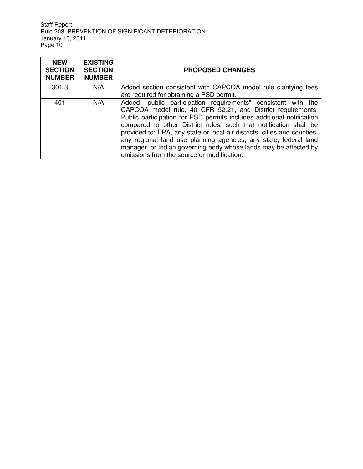| <b>NEW</b><br><b>SECTION</b><br><b>NUMBER</b> | <b>EXISTING</b><br><b>SECTION</b><br><b>NUMBER</b> | <b>PROPOSED CHANGES</b>                                                                                                                                                                                                                                                                                                                                                                                                                                                                                                                      |
|-----------------------------------------------|----------------------------------------------------|----------------------------------------------------------------------------------------------------------------------------------------------------------------------------------------------------------------------------------------------------------------------------------------------------------------------------------------------------------------------------------------------------------------------------------------------------------------------------------------------------------------------------------------------|
| 301.3                                         | N/A                                                | Added section consistent with CAPCOA model rule clarifying fees<br>are required for obtaining a PSD permit.                                                                                                                                                                                                                                                                                                                                                                                                                                  |
| 401                                           | N/A                                                | Added "public participation requirements" consistent with the<br>CAPCOA model rule, 40 CFR 52.21, and District requirements.<br>Public participation for PSD permits includes additional notification<br>compared to other District rules, such that notification shall be<br>provided to: EPA, any state or local air districts, cities and counties,<br>any regional land use planning agencies, any state, federal land<br>manager, or Indian governing body whose lands may be affected by<br>emissions from the source or modification. |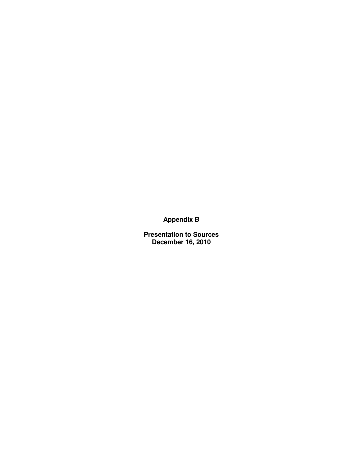**Appendix B** 

**Presentation to Sources December 16, 2010**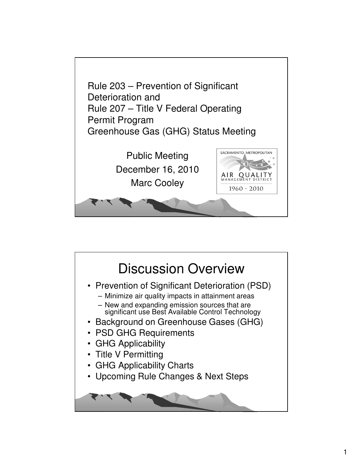

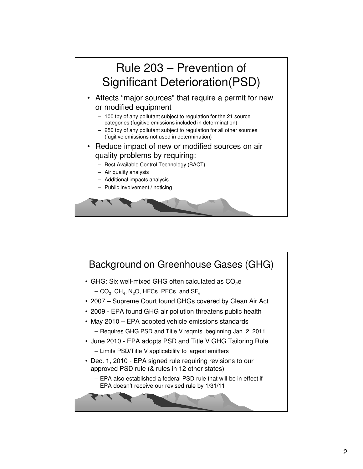

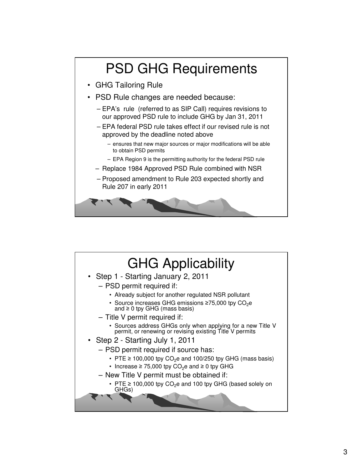

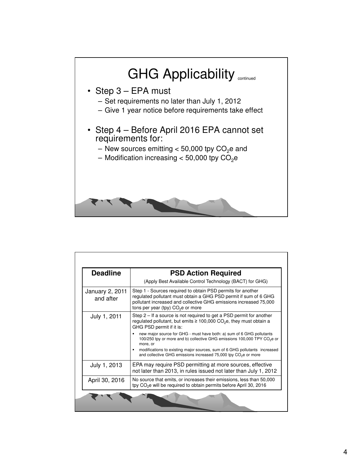

| <b>Deadline</b>              | <b>PSD Action Required</b>                                                                                                                                                                                                                                                                                                                  |
|------------------------------|---------------------------------------------------------------------------------------------------------------------------------------------------------------------------------------------------------------------------------------------------------------------------------------------------------------------------------------------|
|                              | (Apply Best Available Control Technology (BACT) for GHG)                                                                                                                                                                                                                                                                                    |
| January 2, 2011<br>and after | Step 1 - Sources required to obtain PSD permits for another<br>regulated pollutant must obtain a GHG PSD permit if sum of 6 GHG<br>pollutant increased and collective GHG emissions increased 75,000<br>tons per year (tpy) $CO2e$ or more                                                                                                  |
| July 1, 2011                 | Step $2 -$ If a source is not required to get a PSD permit for another<br>regulated pollutant, but emits $\geq 100,000$ CO <sub>2</sub> e, they must obtain a<br>GHG PSD permit if it is:                                                                                                                                                   |
|                              | new major source for GHG - must have both: a) sum of 6 GHG pollutants<br>٠<br>100/250 tpy or more and b) collective GHG emissions 100,000 TPY CO <sub>2</sub> e or<br>more, or<br>modifications to existing major sources, sum of 6 GHG pollutants increased<br>and collective GHG emissions increased 75,000 tpy CO <sub>2</sub> e or more |
| July 1, 2013                 | EPA may require PSD permitting at more sources, effective<br>not later than 2013, in rules issued not later than July 1, 2012                                                                                                                                                                                                               |
| April 30, 2016               | No source that emits, or increases their emissions, less than 50,000<br>tpy CO <sub>2</sub> e will be required to obtain permits before April 30, 2016                                                                                                                                                                                      |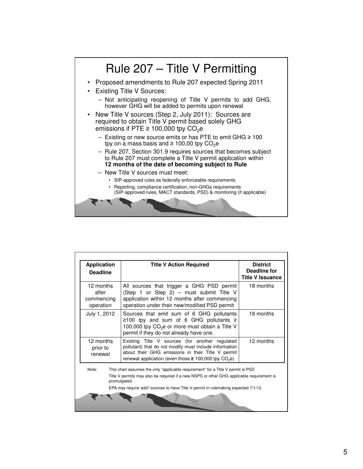

| <b>Application</b><br><b>Deadline</b>                                                                                                                                                                                                                                                         | <b>Title V Action Required</b>                                                                                                                                                                                                          | <b>District</b><br>Deadline for<br><b>Title V Issuance</b> |
|-----------------------------------------------------------------------------------------------------------------------------------------------------------------------------------------------------------------------------------------------------------------------------------------------|-----------------------------------------------------------------------------------------------------------------------------------------------------------------------------------------------------------------------------------------|------------------------------------------------------------|
| 12 months<br>after<br>commencing<br>operation                                                                                                                                                                                                                                                 | All sources that trigger a GHG PSD permit<br>(Step 1 or Step 2) - must submit Title V<br>application within 12 months after commencing<br>operation under their new/modified PSD permit                                                 | 18 months                                                  |
| July 1, 2012                                                                                                                                                                                                                                                                                  | Sources that emit sum of 6 GHG pollutants<br>≥100 tpy and sum of 6 GHG pollutants ≥<br>100,000 tpy CO <sub>2</sub> e or more must obtain a Title V<br>permit if they do not already have one.                                           | 18 months                                                  |
| 12 months<br>prior to<br>renewal                                                                                                                                                                                                                                                              | Existing Title V sources (for another regulated<br>pollutant) that do not modify must include information<br>about their GHG emissions in their Title V permit<br>renewal application (even those $\geq$ 100,000 tpy CO <sub>2</sub> e) | 12 months                                                  |
| Note:<br>This chart assumes the only "applicable requirement" for a Title V permit is PSD<br>Title V permits may also be required if a new NSPS or other GHG applicable requirement is<br>promulgated.<br>EPA may require add'l sources to have Title V permit in rulemaking expected 7/1/12. |                                                                                                                                                                                                                                         |                                                            |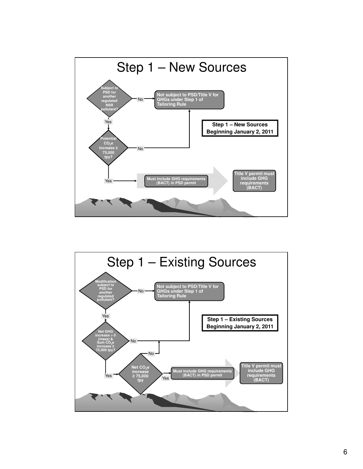

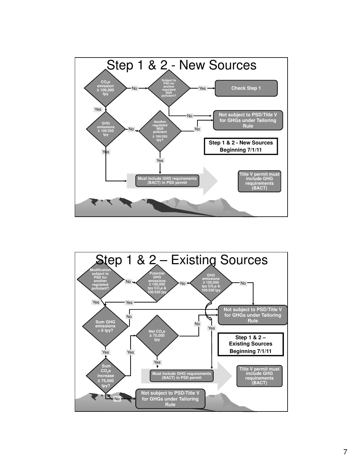